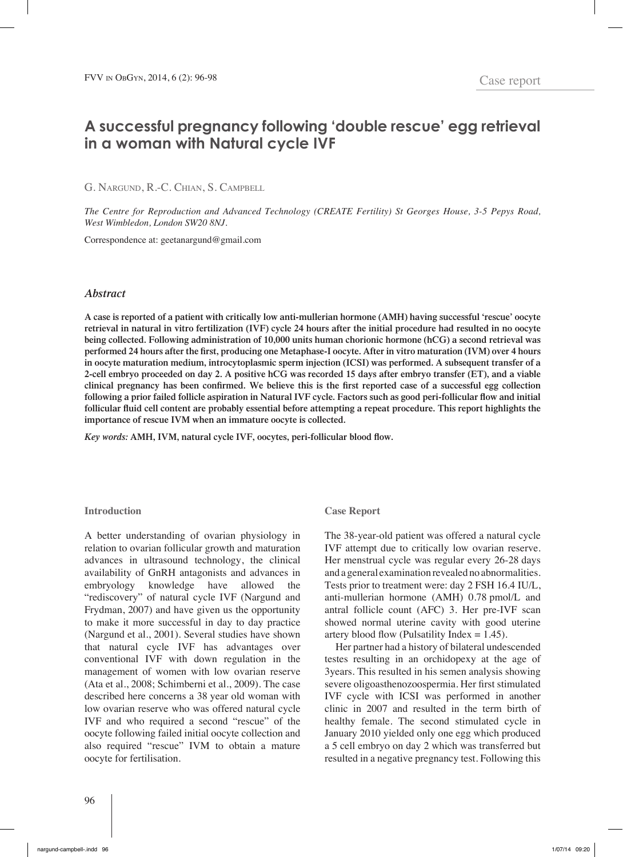# **A successful pregnancy following 'double rescue' egg retrieval in a woman with Natural cycle IVF**

G. Nargund, R.-C. Chian, S. Campbell

*The Centre for Reproduction and Advanced Technology (CREATE Fertility) St Georges House, 3-5 Pepys Road, West Wimbledon, London SW20 8NJ.*

Correspondence at: geetanargund@gmail.com

### *Abstract*

**A case is reported of a patient with critically low anti-mullerian hormone (AMH) having successful 'rescue' oocyte retrieval in natural in vitro fertilization (IVF) cycle 24 hours after the initial procedure had resulted in no oocyte being collected. Following administration of 10,000 units human chorionic hormone (hCG) a second retrieval was performed 24 hours after the first, producing one Metaphase-I oocyte. After in vitro maturation (IVM) over 4 hours in oocyte maturation medium, introcytoplasmic sperm injection (ICSI) was performed. A subsequent transfer of a 2-cell embryo proceeded on day 2. A positive hCG was recorded 15 days after embryo transfer (ET), and a viable clinical pregnancy has been confirmed. We believe this is the first reported case of a successful egg collection following a prior failed follicle aspiration in Natural IVF cycle. Factors such as good peri-follicular flow and initial follicular fluid cell content are probably essential before attempting a repeat procedure. This report highlights the importance of rescue IVM when an immature oocyte is collected.** 

*Key words:* **AMH, IVM, natural cycle IVF, oocytes, peri-follicular blood flow.**

#### **Introduction**

A better understanding of ovarian physiology in relation to ovarian follicular growth and maturation advances in ultrasound technology, the clinical availability of GnRH antagonists and advances in embryology knowledge have allowed the "rediscovery" of natural cycle IVF (Nargund and Frydman, 2007) and have given us the opportunity to make it more successful in day to day practice (Nargund et al., 2001). Several studies have shown that natural cycle IVF has advantages over conventional IVF with down regulation in the management of women with low ovarian reserve (Ata et al., 2008; Schimberni et al., 2009). The case described here concerns a 38 year old woman with low ovarian reserve who was offered natural cycle IVF and who required a second "rescue" of the oocyte following failed initial oocyte collection and also required "rescue" IVM to obtain a mature oocyte for fertilisation.

## **Case Report**

The 38-year-old patient was offered a natural cycle IVF attempt due to critically low ovarian reserve. Her menstrual cycle was regular every 26-28 days and a general examination revealed no abnormalities. Tests prior to treatment were: day 2 FSH 16.4 IU/L, anti-mullerian hormone (AMH) 0.78 pmol/L and antral follicle count (AFC) 3. Her pre-IVF scan showed normal uterine cavity with good uterine artery blood flow (Pulsatility Index  $= 1.45$ ).

Her partner had a history of bilateral undescended testes resulting in an orchidopexy at the age of 3years. This resulted in his semen analysis showing severe oligoasthenozoospermia. Her first stimulated IVF cycle with ICSI was performed in another clinic in 2007 and resulted in the term birth of healthy female. The second stimulated cycle in January 2010 yielded only one egg which produced a 5 cell embryo on day 2 which was transferred but resulted in a negative pregnancy test. Following this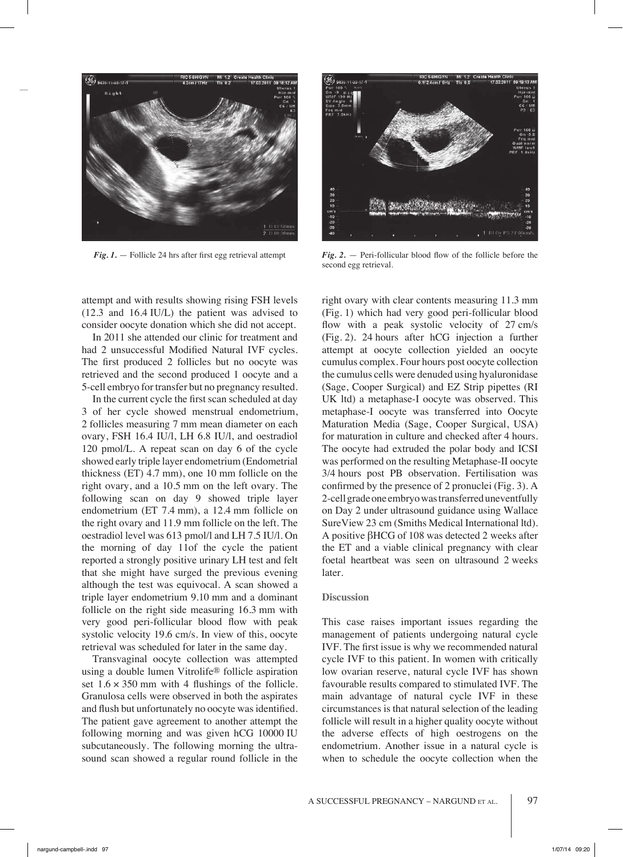

attempt and with results showing rising FSH levels (12.3 and 16.4 IU/L) the patient was advised to consider oocyte donation which she did not accept.

In 2011 she attended our clinic for treatment and had 2 unsuccessful Modified Natural IVF cycles. The first produced 2 follicles but no oocyte was retrieved and the second produced 1 oocyte and a 5-cell embryo for transfer but no pregnancy resulted.

In the current cycle the first scan scheduled at day 3 of her cycle showed menstrual endometrium, 2 follicles measuring 7 mm mean diameter on each ovary, FSH 16.4 IU/l, LH 6.8 IU/l, and oestradiol 120 pmol/L. A repeat scan on day 6 of the cycle showed early triple layer endometrium (Endometrial thickness (ET) 4.7 mm), one 10 mm follicle on the right ovary, and a 10.5 mm on the left ovary. The following scan on day 9 showed triple layer endometrium (ET 7.4 mm), a 12.4 mm follicle on the right ovary and 11.9 mm follicle on the left. The oestradiol level was 613 pmol/l and LH 7.5 IU/l. On the morning of day 11of the cycle the patient reported a strongly positive urinary LH test and felt that she might have surged the previous evening although the test was equivocal. A scan showed a triple layer endometrium 9.10 mm and a dominant follicle on the right side measuring 16.3 mm with very good peri-follicular blood flow with peak systolic velocity 19.6 cm/s. In view of this, oocyte retrieval was scheduled for later in the same day.

Transvaginal oocyte collection was attempted using a double lumen Vitrolife® follicle aspiration set  $1.6 \times 350$  mm with 4 flushings of the follicle. Granulosa cells were observed in both the aspirates and flush but unfortunately no oocyte was identified. The patient gave agreement to another attempt the following morning and was given hCG 10000 IU subcutaneously. The following morning the ultrasound scan showed a regular round follicle in the



*Fig. 1.* — Follicle 24 hrs after first egg retrieval attempt *Fig. 2.* — Peri-follicular blood flow of the follicle before the second egg retrieval.

right ovary with clear contents measuring 11.3 mm (Fig. 1) which had very good peri-follicular blood flow with a peak systolic velocity of 27 cm/s (Fig. 2). 24 hours after hCG injection a further attempt at oocyte collection yielded an oocyte cumulus complex. Four hours post oocyte collection the cumulus cells were denuded using hyaluronidase (Sage, Cooper Surgical) and EZ Strip pipettes (RI UK ltd) a metaphase-I oocyte was observed. This metaphase-I oocyte was transferred into Oocyte Maturation Media (Sage, Cooper Surgical, USA) for maturation in culture and checked after 4 hours. The oocyte had extruded the polar body and ICSI was performed on the resulting Metaphase-II oocyte 3/4 hours post PB observation. Fertilisation was confirmed by the presence of 2 pronuclei (Fig. 3). A 2-cell grade one embryo was transferred uneventfully on Day 2 under ultrasound guidance using Wallace SureView 23 cm (Smiths Medical International ltd). A positive βHCG of 108 was detected 2 weeks after the ET and a viable clinical pregnancy with clear foetal heartbeat was seen on ultrasound 2 weeks later.

## **Discussion**

This case raises important issues regarding the management of patients undergoing natural cycle IVF. The first issue is why we recommended natural cycle IVF to this patient. In women with critically low ovarian reserve, natural cycle IVF has shown favourable results compared to stimulated IVF. The main advantage of natural cycle IVF in these circumstances is that natural selection of the leading follicle will result in a higher quality oocyte without the adverse effects of high oestrogens on the endometrium. Another issue in a natural cycle is when to schedule the oocyte collection when the